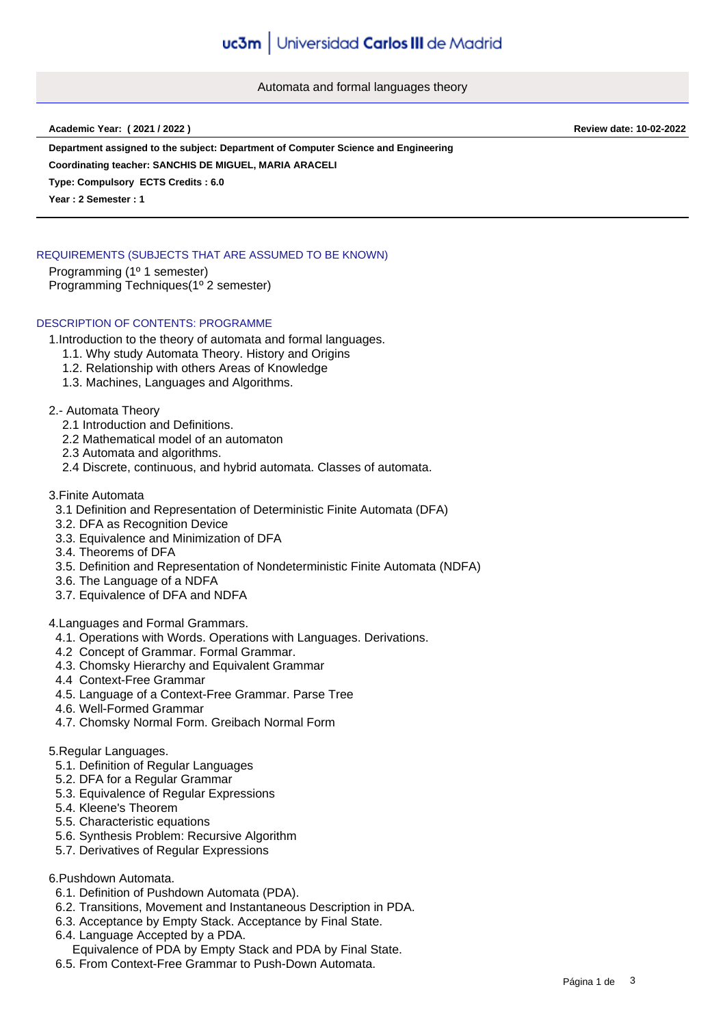Automata and formal languages theory

**Academic Year: ( 2021 / 2022 ) Review date: 10-02-2022**

**Department assigned to the subject: Department of Computer Science and Engineering**

**Coordinating teacher: SANCHIS DE MIGUEL, MARIA ARACELI**

**Type: Compulsory ECTS Credits : 6.0**

**Year : 2 Semester : 1**

# REQUIREMENTS (SUBJECTS THAT ARE ASSUMED TO BE KNOWN)

Programming (1º 1 semester) Programming Techniques(1º 2 semester)

## DESCRIPTION OF CONTENTS: PROGRAMME

1.Introduction to the theory of automata and formal languages.

- 1.1. Why study Automata Theory. History and Origins
- 1.2. Relationship with others Areas of Knowledge
- 1.3. Machines, Languages and Algorithms.

## 2.- Automata Theory

- 2.1 Introduction and Definitions.
- 2.2 Mathematical model of an automaton
- 2.3 Automata and algorithms.
- 2.4 Discrete, continuous, and hybrid automata. Classes of automata.

### 3.Finite Automata

- 3.1 Definition and Representation of Deterministic Finite Automata (DFA)
- 3.2. DFA as Recognition Device
- 3.3. Equivalence and Minimization of DFA
- 3.4. Theorems of DFA
- 3.5. Definition and Representation of Nondeterministic Finite Automata (NDFA)
- 3.6. The Language of a NDFA
- 3.7. Equivalence of DFA and NDFA

### 4.Languages and Formal Grammars.

- 4.1. Operations with Words. Operations with Languages. Derivations.
- 4.2 Concept of Grammar. Formal Grammar.
- 4.3. Chomsky Hierarchy and Equivalent Grammar
- 4.4 Context-Free Grammar
- 4.5. Language of a Context-Free Grammar. Parse Tree
- 4.6. Well-Formed Grammar
- 4.7. Chomsky Normal Form. Greibach Normal Form

### 5.Regular Languages.

- 5.1. Definition of Regular Languages
- 5.2. DFA for a Regular Grammar
- 5.3. Equivalence of Regular Expressions
- 5.4. Kleene's Theorem
- 5.5. Characteristic equations
- 5.6. Synthesis Problem: Recursive Algorithm
- 5.7. Derivatives of Regular Expressions

### 6.Pushdown Automata.

- 6.1. Definition of Pushdown Automata (PDA).
- 6.2. Transitions, Movement and Instantaneous Description in PDA.
- 6.3. Acceptance by Empty Stack. Acceptance by Final State.
- 6.4. Language Accepted by a PDA.
- Equivalence of PDA by Empty Stack and PDA by Final State.
- 6.5. From Context-Free Grammar to Push-Down Automata.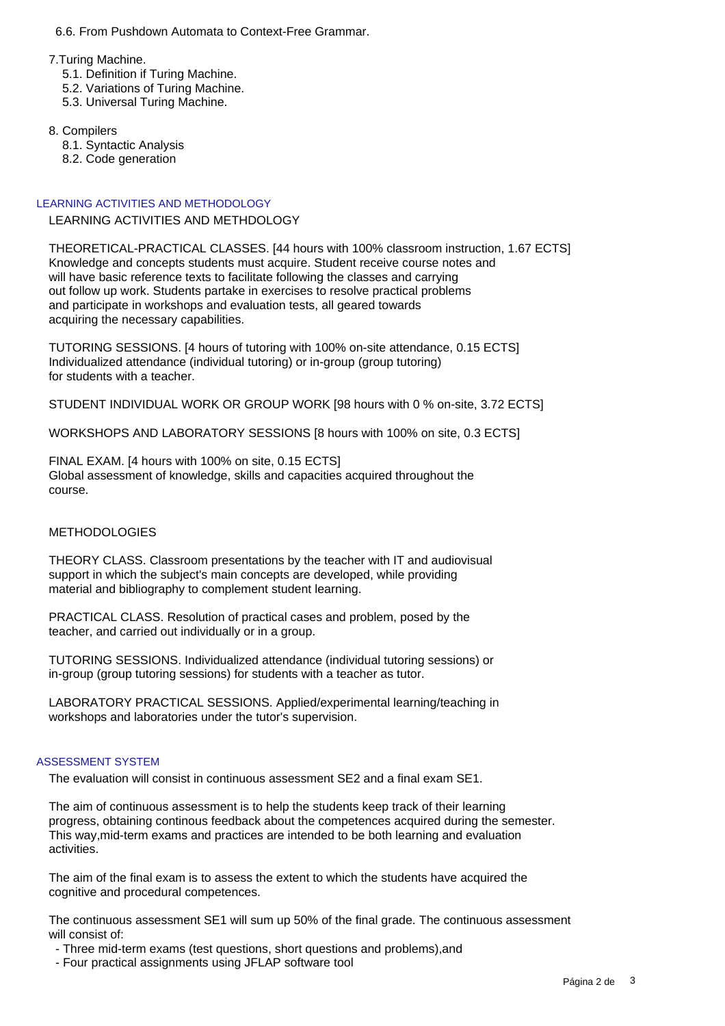6.6. From Pushdown Automata to Context-Free Grammar.

### 7.Turing Machine.

- 5.1. Definition if Turing Machine.
- 5.2. Variations of Turing Machine.
- 5.3. Universal Turing Machine.

8. Compilers

- 8.1. Syntactic Analysis
- 8.2. Code generation

#### LEARNING ACTIVITIES AND METHODOLOGY

### LEARNING ACTIVITIES AND METHDOLOGY

THEORETICAL-PRACTICAL CLASSES. [44 hours with 100% classroom instruction, 1.67 ECTS] Knowledge and concepts students must acquire. Student receive course notes and will have basic reference texts to facilitate following the classes and carrying out follow up work. Students partake in exercises to resolve practical problems and participate in workshops and evaluation tests, all geared towards acquiring the necessary capabilities.

TUTORING SESSIONS. [4 hours of tutoring with 100% on-site attendance, 0.15 ECTS] Individualized attendance (individual tutoring) or in-group (group tutoring) for students with a teacher.

STUDENT INDIVIDUAL WORK OR GROUP WORK [98 hours with 0 % on-site, 3.72 ECTS]

WORKSHOPS AND LABORATORY SESSIONS [8 hours with 100% on site, 0.3 ECTS]

FINAL EXAM. [4 hours with 100% on site, 0.15 ECTS] Global assessment of knowledge, skills and capacities acquired throughout the course.

## METHODOLOGIES

THEORY CLASS. Classroom presentations by the teacher with IT and audiovisual support in which the subject's main concepts are developed, while providing material and bibliography to complement student learning.

PRACTICAL CLASS. Resolution of practical cases and problem, posed by the teacher, and carried out individually or in a group.

TUTORING SESSIONS. Individualized attendance (individual tutoring sessions) or in-group (group tutoring sessions) for students with a teacher as tutor.

LABORATORY PRACTICAL SESSIONS. Applied/experimental learning/teaching in workshops and laboratories under the tutor's supervision.

#### ASSESSMENT SYSTEM

The evaluation will consist in continuous assessment SE2 and a final exam SE1.

The aim of continuous assessment is to help the students keep track of their learning progress, obtaining continous feedback about the competences acquired during the semester. This way,mid-term exams and practices are intended to be both learning and evaluation activities.

The aim of the final exam is to assess the extent to which the students have acquired the cognitive and procedural competences.

The continuous assessment SE1 will sum up 50% of the final grade. The continuous assessment will consist of:

- Three mid-term exams (test questions, short questions and problems),and

- Four practical assignments using JFLAP software tool